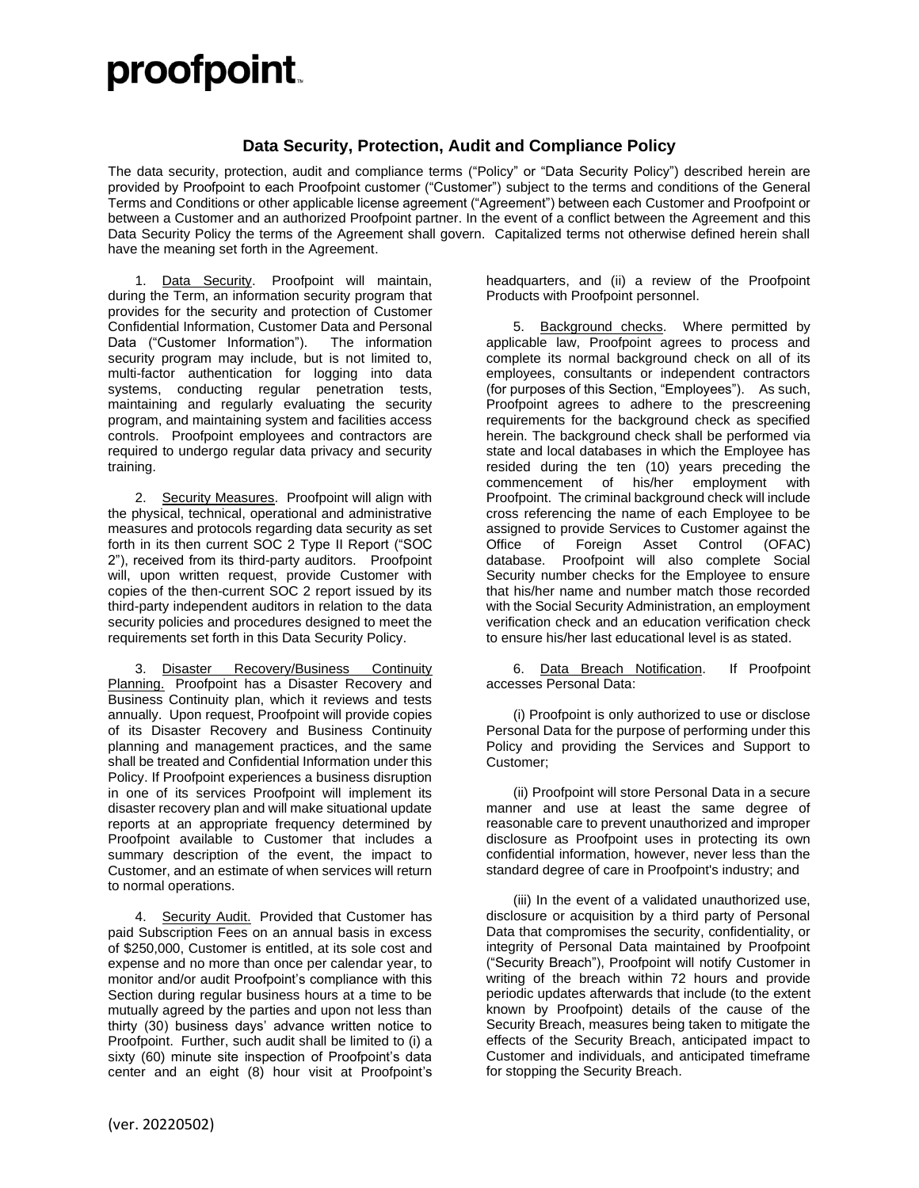## proofpoint.

## **Data Security, Protection, Audit and Compliance Policy**

The data security, protection, audit and compliance terms ("Policy" or "Data Security Policy") described herein are provided by Proofpoint to each Proofpoint customer ("Customer") subject to the terms and conditions of the General Terms and Conditions or other applicable license agreement ("Agreement") between each Customer and Proofpoint or between a Customer and an authorized Proofpoint partner. In the event of a conflict between the Agreement and this Data Security Policy the terms of the Agreement shall govern. Capitalized terms not otherwise defined herein shall have the meaning set forth in the Agreement.

1. Data Security. Proofpoint will maintain, during the Term, an information security program that provides for the security and protection of Customer Confidential Information, Customer Data and Personal Data ("Customer Information"). The information security program may include, but is not limited to, multi-factor authentication for logging into data systems, conducting regular penetration tests, maintaining and regularly evaluating the security program, and maintaining system and facilities access controls. Proofpoint employees and contractors are required to undergo regular data privacy and security training.

2. Security Measures. Proofpoint will align with the physical, technical, operational and administrative measures and protocols regarding data security as set forth in its then current SOC 2 Type II Report ("SOC 2"), received from its third-party auditors. Proofpoint will, upon written request, provide Customer with copies of the then-current SOC 2 report issued by its third-party independent auditors in relation to the data security policies and procedures designed to meet the requirements set forth in this Data Security Policy.

3. Disaster Recovery/Business Continuity Planning. Proofpoint has a Disaster Recovery and Business Continuity plan, which it reviews and tests annually. Upon request, Proofpoint will provide copies of its Disaster Recovery and Business Continuity planning and management practices, and the same shall be treated and Confidential Information under this Policy. If Proofpoint experiences a business disruption in one of its services Proofpoint will implement its disaster recovery plan and will make situational update reports at an appropriate frequency determined by Proofpoint available to Customer that includes a summary description of the event, the impact to Customer, and an estimate of when services will return to normal operations.

4. Security Audit. Provided that Customer has paid Subscription Fees on an annual basis in excess of \$250,000, Customer is entitled, at its sole cost and expense and no more than once per calendar year, to monitor and/or audit Proofpoint's compliance with this Section during regular business hours at a time to be mutually agreed by the parties and upon not less than thirty (30) business days' advance written notice to Proofpoint. Further, such audit shall be limited to (i) a sixty (60) minute site inspection of Proofpoint's data center and an eight (8) hour visit at Proofpoint's headquarters, and (ii) a review of the Proofpoint Products with Proofpoint personnel.

5. Background checks. Where permitted by applicable law, Proofpoint agrees to process and complete its normal background check on all of its employees, consultants or independent contractors (for purposes of this Section, "Employees"). As such, Proofpoint agrees to adhere to the prescreening requirements for the background check as specified herein. The background check shall be performed via state and local databases in which the Employee has resided during the ten (10) years preceding the commencement of his/her employment with Proofpoint. The criminal background check will include cross referencing the name of each Employee to be assigned to provide Services to Customer against the Office of Foreign Asset Control (OFAC) database. Proofpoint will also complete Social Security number checks for the Employee to ensure that his/her name and number match those recorded with the Social Security Administration, an employment verification check and an education verification check to ensure his/her last educational level is as stated.

6. Data Breach Notification. If Proofpoint accesses Personal Data:

(i) Proofpoint is only authorized to use or disclose Personal Data for the purpose of performing under this Policy and providing the Services and Support to Customer;

(ii) Proofpoint will store Personal Data in a secure manner and use at least the same degree of reasonable care to prevent unauthorized and improper disclosure as Proofpoint uses in protecting its own confidential information, however, never less than the standard degree of care in Proofpoint's industry; and

(iii) In the event of a validated unauthorized use, disclosure or acquisition by a third party of Personal Data that compromises the security, confidentiality, or integrity of Personal Data maintained by Proofpoint ("Security Breach"), Proofpoint will notify Customer in writing of the breach within 72 hours and provide periodic updates afterwards that include (to the extent known by Proofpoint) details of the cause of the Security Breach, measures being taken to mitigate the effects of the Security Breach, anticipated impact to Customer and individuals, and anticipated timeframe for stopping the Security Breach.